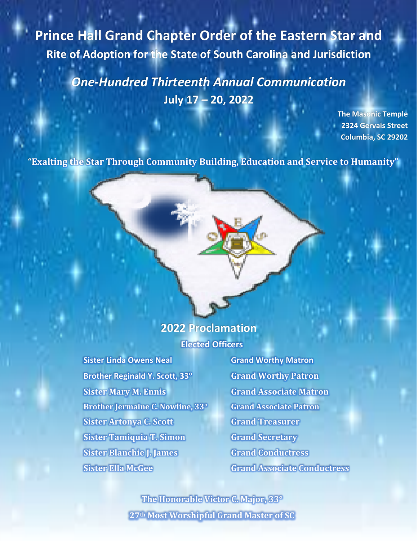**Prince Hall Grand Chapter Order of the Eastern Star and Rite of Adoption for the State of South Carolina and Jurisdiction**

> *One-Hundred Thirteenth Annual Communication* **July 17 – 20, 2022**

> > **The Masonic Temple 2324 Gervais Street Columbia, SC 29202**

**"Exalting the Star Through Community Building, Education and Service to Humanity"**

# **2022 Proclamation Elected Officers**

**Sister Linda Owens Neal Grand Worthy Matron Brother Reginald Y. Scott, 33° Grand Worthy Patron Sister Mary M. Ennis Grand Associate Matron Brother Jermaine C. Nowline, 33° Grand Associate Patron Sister Artonya C. Scott Grand Treasurer Sister Tamiquia T. Simon Grand Secretary Sister Blanchie J. James Grand Conductress Sister Ella McGee Grand Associate Conductress**

**The Honorable Victor C. Major, 33° 27th Most Worshipful Grand Master of SC**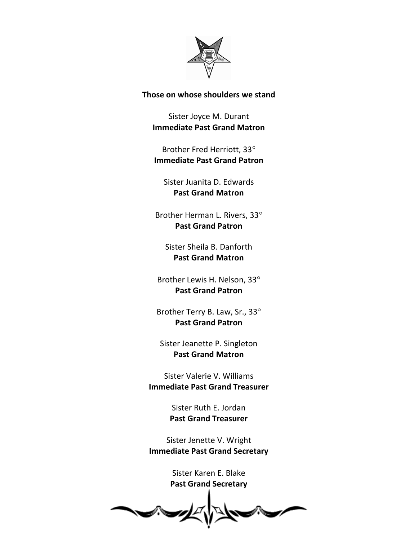

#### **Those on whose shoulders we stand**

Sister Joyce M. Durant **Immediate Past Grand Matron**

Brother Fred Herriott, 33 **Immediate Past Grand Patron**

Sister Juanita D. Edwards **Past Grand Matron**

Brother Herman L. Rivers, 33 **Past Grand Patron**

Sister Sheila B. Danforth **Past Grand Matron**

Brother Lewis H. Nelson, 33 **Past Grand Patron**

Brother Terry B. Law, Sr., 33 **Past Grand Patron**

Sister Jeanette P. Singleton **Past Grand Matron**

Sister Valerie V. Williams **Immediate Past Grand Treasurer**

> Sister Ruth E. Jordan **Past Grand Treasurer**

Sister Jenette V. Wright **Immediate Past Grand Secretary**

> Sister Karen E. Blake **Past Grand Secretary**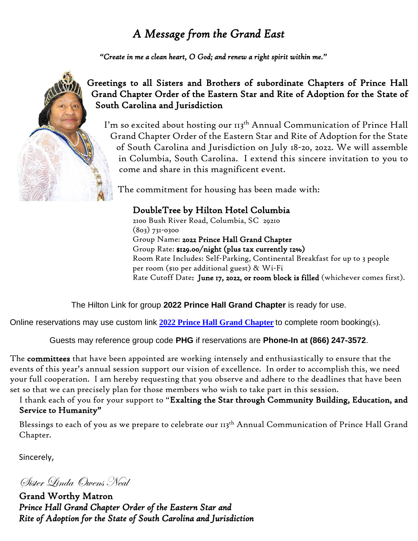## *A Message from the Grand East*

*"Create in me a clean heart, O God; and renew a right spirit within me."* 



## Greetings to all Sisters and Brothers of subordinate Chapters of Prince Hall Grand Chapter Order of the Eastern Star and Rite of Adoption for the State of South Carolina and Jurisdiction

I'm so excited about hosting our 113<sup>th</sup> Annual Communication of Prince Hall Grand Chapter Order of the Eastern Star and Rite of Adoption for the State of South Carolina and Jurisdiction on July 18-20, 2022. We will assemble in Columbia, South Carolina. I extend this sincere invitation to you to come and share in this magnificent event.

The commitment for housing has been made with:

## DoubleTree by Hilton Hotel Columbia

2100 Bush River Road, Columbia, SC 29210 (803) 731-0300 Group Name: 2022 Prince Hall Grand Chapter Group Rate: \$129.00/night (plus tax currently 12%) Room Rate Includes: Self-Parking, Continental Breakfast for up to 3 people per room (\$10 per additional guest) & Wi-Fi Rate Cutoff Date: June 17, 2022, or room block is filled (whichever comes first).

The Hilton Link for group **2022 Prince Hall Grand Chapter** is ready for use.

Online reservations may use custom link **[2022 Prince Hall Grand Chapter](https://www.hilton.com/en/book/reservation/deeplink/?ctyhocn=CAECSDT&groupCode=CDTPHG&arrivaldate=2022-07-17&departuredate=2022-07-20&cid=OM,WW,HILTONLINK,EN,DirectLink&fromId=HILTONLINKDIRECT)** to complete room booking(s).

Guests may reference group code **PHG** if reservations are **Phone-In at (866) 247-3572**.

The committees that have been appointed are working intensely and enthusiastically to ensure that the events of this year's annual session support our vision of excellence. In order to accomplish this, we need your full cooperation. I am hereby requesting that you observe and adhere to the deadlines that have been set so that we can precisely plan for those members who wish to take part in this session.

I thank each of you for your support to "Exalting the Star through Community Building, Education, and Service to Humanity"

Blessings to each of you as we prepare to celebrate our 113<sup>th</sup> Annual Communication of Prince Hall Grand Chapter.

Sincerely,

Sister Linda Owens Neal

Grand Worthy Matron *Prince Hall Grand Chapter Order of the Eastern Star and Rite of Adoption for the State of South Carolina and Jurisdiction*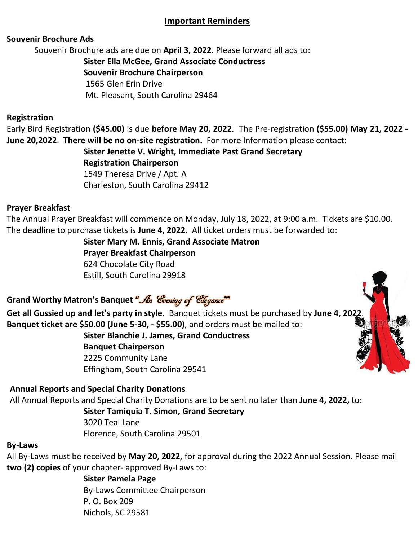#### **Important Reminders**

#### **Souvenir Brochure Ads**

Souvenir Brochure ads are due on **April 3, 2022**. Please forward all ads to:

**Sister Ella McGee, Grand Associate Conductress Souvenir Brochure Chairperson** 1565 Glen Erin Drive

Mt. Pleasant, South Carolina 29464

#### **Registration**

Early Bird Registration **(\$45.00)** is due **before May 20, 2022**. The Pre-registration **(\$55.00) May 21, 2022 - June 20,2022**. **There will be no on-site registration.** For more Information please contact:

> **Sister Jenette V. Wright, Immediate Past Grand Secretary Registration Chairperson** 1549 Theresa Drive / Apt. A Charleston, South Carolina 29412

#### **Prayer Breakfast**

The Annual Prayer Breakfast will commence on Monday, July 18, 2022, at 9:00 a.m. Tickets are \$10.00. The deadline to purchase tickets is **June 4, 2022**. All ticket orders must be forwarded to:

**Sister Mary M. Ennis, Grand Associate Matron**

**Prayer Breakfast Chairperson** 624 Chocolate City Road Estill, South Carolina 29918

Grand Worthy Matron's Banquet "An Evening of Elegance"<sup>99</sup>

**Get all Gussied up and let's party in style.** Banquet tickets must be purchased by **June 4, 2022**. **Banquet ticket are \$50.00 (June 5-30, - \$55.00)**, and orders must be mailed to:

> **Sister Blanchie J. James, Grand Conductress Banquet Chairperson** 2225 Community Lane

Effingham, South Carolina 29541

#### **Annual Reports and Special Charity Donations**

All Annual Reports and Special Charity Donations are to be sent no later than **June 4, 2022,** to:

**Sister Tamiquia T. Simon, Grand Secretary**

3020 Teal Lane Florence, South Carolina 29501

#### **By-Laws**

All By-Laws must be received by **May 20, 2022,** for approval during the 2022 Annual Session. Please mail **two (2) copies** of your chapter- approved By-Laws to:

> **Sister Pamela Page** By-Laws Committee Chairperson P. O. Box 209 Nichols, SC 29581

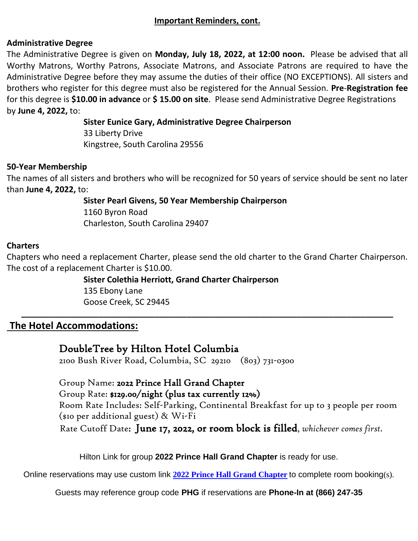#### **Administrative Degree**

The Administrative Degree is given on **Monday, July 18, 2022, at 12:00 noon.** Please be advised that all Worthy Matrons, Worthy Patrons, Associate Matrons, and Associate Patrons are required to have the Administrative Degree before they may assume the duties of their office (NO EXCEPTIONS). All sisters and brothers who register for this degree must also be registered for the Annual Session. **Pre**-**Registration fee** for this degree is **\$10.00 in advance** or **\$ 15.00 on site**. Please send Administrative Degree Registrations by **June 4, 2022,** to:

> **Sister Eunice Gary, Administrative Degree Chairperson** 33 Liberty Drive Kingstree, South Carolina 29556

#### **50-Year Membership**

The names of all sisters and brothers who will be recognized for 50 years of service should be sent no later than **June 4, 2022,** to:

> **Sister Pearl Givens, 50 Year Membership Chairperson** 1160 Byron Road

Charleston, South Carolina 29407

#### **Charters**

Chapters who need a replacement Charter, please send the old charter to the Grand Charter Chairperson. The cost of a replacement Charter is \$10.00.

**\_\_\_\_\_\_\_\_\_\_\_\_\_\_\_\_\_\_\_\_\_\_\_\_\_\_\_\_\_\_\_\_\_\_\_\_\_\_\_\_\_\_\_\_\_\_\_\_\_\_\_\_\_\_\_\_\_\_\_\_\_\_\_\_\_\_\_\_\_\_\_\_\_\_\_\_\_\_\_\_\_**

#### **Sister Colethia Herriott, Grand Charter Chairperson**

135 Ebony Lane Goose Creek, SC 29445

## **The Hotel Accommodations:**

DoubleTree by Hilton Hotel Columbia

2100 Bush River Road, Columbia, SC 29210 (803) 731-0300

Group Name: 2022 Prince Hall Grand Chapter Group Rate: \$129.00/night (plus tax currently 12%) Room Rate Includes: Self-Parking, Continental Breakfast for up to 3 people per room (\$10 per additional guest) & Wi-Fi Rate Cutoff Date: June 17, 2022, or room block is filled, *whichever comes first.*

Hilton Link for group **2022 Prince Hall Grand Chapter** is ready for use.

Online reservations may use custom link **[2022 Prince Hall Grand Chapter](https://www.hilton.com/en/book/reservation/deeplink/?ctyhocn=CAECSDT&groupCode=CDTPHG&arrivaldate=2022-07-17&departuredate=2022-07-20&cid=OM,WW,HILTONLINK,EN,DirectLink&fromId=HILTONLINKDIRECT)** to complete room booking(s).

Guests may reference group code **PHG** if reservations are **Phone-In at (866) 247-35**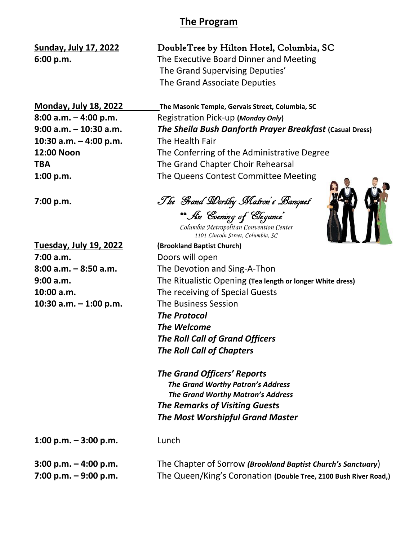## **The Program**

The Grand Supervising Deputies' The Grand Associate Deputies

**Sunday, July 17, 2022** DoubleTree by Hilton Hotel, Columbia, SC **6:00 p.m.** The Executive Board Dinner and Meeting

**10:30 a.m. – 4:00 p.m.** The Health Fair

**7:00 a.m.** Doors will open **10:30 a.m. – 1:00 p.m.** The Business Session

**Monday, July 18, 2022 The Masonic Temple, Gervais Street, Columbia, SC 8:00 a.m. – 4:00 p.m.** Registration Pick-up **(***Monday Only***) 9:00 a.m. – 10:30 a.m.** *The Sheila Bush Danforth Prayer Breakfast* **(Casual Dress) 12:00 Noon** The Conferring of the Administrative Degree **TBA** The Grand Chapter Choir Rehearsal **1:00 p.m.** The Queens Contest Committee Meeting

**7:00 p.m.** The Grand Worthy Matron's Banquet "An Evening of Elegance"

 *Columbia Metropolitan Convention Center 1101 Lincoln Street, Columbia, SC*



**Tuesday, July 19, 2022 (Brookland Baptist Church) 8:00 a.m. – 8:50 a.m.** The Devotion and Sing-A-Thon **9:00 a.m.** The Ritualistic Opening **(Tea length or longer White dress) 10:00 a.m.** The receiving of Special Guests *The Protocol The Welcome The Roll Call of Grand Officers The Roll Call of Chapters*

> *The Grand Officers' Reports The Grand Worthy Patron's Address The Grand Worthy Matron's Address The Remarks of Visiting Guests The Most Worshipful Grand Master*

**1:00 p.m. – 3:00 p.m.** Lunch

**3:00 p.m. – 4:00 p.m.** The Chapter of Sorrow *(Brookland Baptist Church's Sanctuary*) **7:00 p.m. – 9:00 p.m.** The Queen/King's Coronation **(Double Tree, 2100 Bush River Road,)**